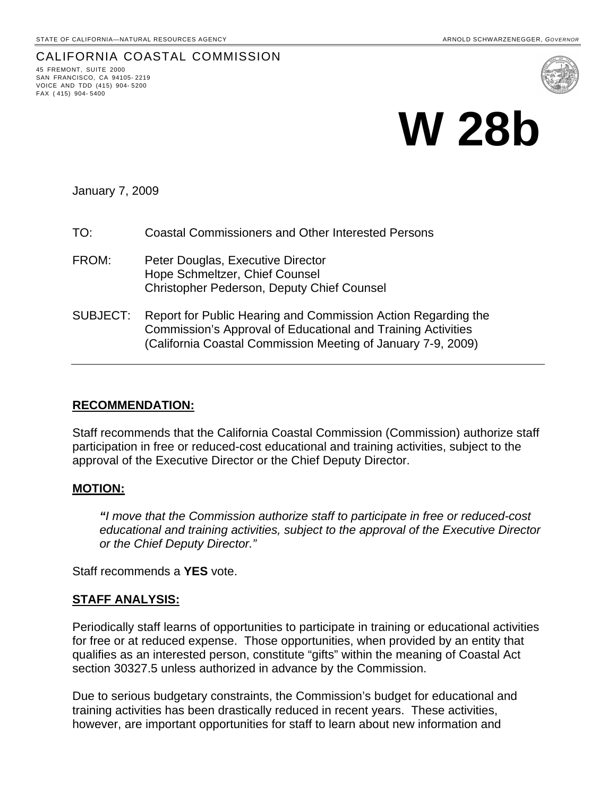## CALIFORNIA COASTAL COMMISSION 45 FREMONT, SUITE <sup>2000</sup>

SAN FRANCISCO, CA 94105- 2219 VOICE AND TDD (415) 904- 5200 FAX ( 415) 904- 5400



# **W 28b**

January 7, 2009

- TO: Coastal Commissioners and Other Interested Persons
- FROM: Peter Douglas, Executive Director Hope Schmeltzer, Chief Counsel Christopher Pederson, Deputy Chief Counsel
- SUBJECT: Report for Public Hearing and Commission Action Regarding the Commission's Approval of Educational and Training Activities (California Coastal Commission Meeting of January 7-9, 2009)

### **RECOMMENDATION:**

Staff recommends that the California Coastal Commission (Commission) authorize staff participation in free or reduced-cost educational and training activities, subject to the approval of the Executive Director or the Chief Deputy Director.

### **MOTION:**

*"I move that the Commission authorize staff to participate in free or reduced-cost educational and training activities, subject to the approval of the Executive Director or the Chief Deputy Director."* 

Staff recommends a **YES** vote.

### **STAFF ANALYSIS:**

Periodically staff learns of opportunities to participate in training or educational activities for free or at reduced expense. Those opportunities, when provided by an entity that qualifies as an interested person, constitute "gifts" within the meaning of Coastal Act section 30327.5 unless authorized in advance by the Commission.

Due to serious budgetary constraints, the Commission's budget for educational and training activities has been drastically reduced in recent years. These activities, however, are important opportunities for staff to learn about new information and